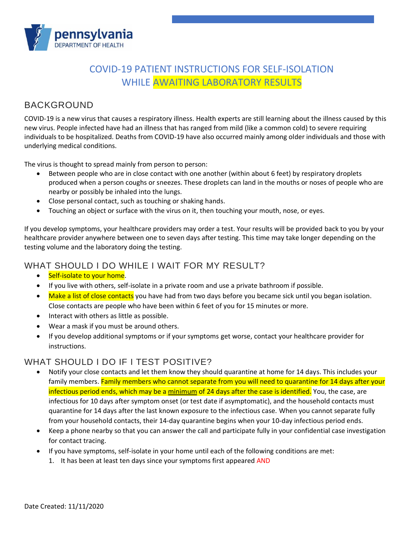

# COVID-19 PATIENT INSTRUCTIONS FOR SELF-ISOLATION WHILE AWAITING LABORATORY RESULTS

## BACKGROUND

COVID-19 is a new virus that causes a respiratory illness. Health experts are still learning about the illness caused by this new virus. People infected have had an illness that has ranged from mild (like a common cold) to severe requiring individuals to be hospitalized. Deaths from COVID-19 have also occurred mainly among older individuals and those with underlying medical conditions.

The virus is thought to spread mainly from person to person:

- Between people who are in close contact with one another (within about 6 feet) by respiratory droplets produced when a person coughs or sneezes. These droplets can land in the mouths or noses of people who are nearby or possibly be inhaled into the lungs.
- Close personal contact, such as touching or shaking hands.
- Touching an object or surface with the virus on it, then touching your mouth, nose, or eyes.

If you develop symptoms, your healthcare providers may order a test. Your results will be provided back to you by your healthcare provider anywhere between one to seven days after testing. This time may take longer depending on the testing volume and the laboratory doing the testing.

#### WHAT SHOULD I DO WHILE I WAIT FOR MY RESULT?

- Self-isolate to your home.
- If you live with others, self-isolate in a private room and use a private bathroom if possible.
- Make a list of close contacts you have had from two days before you became sick until you began isolation. Close contacts are people who have been within 6 feet of you for 15 minutes or more.
- Interact with others as little as possible.
- Wear a mask if you must be around others.
- If you develop additional symptoms or if your symptoms get worse, contact your healthcare provider for instructions.

### WHAT SHOULD I DO IF I TEST POSITIVE?

- Notify your close contacts and let them know they should quarantine at home for 14 days. This includes your family members. Family members who cannot separate from you will need to quarantine for 14 days after your infectious period ends, which may be a minimum of 24 days after the case is identified. You, the case, are infectious for 10 days after symptom onset (or test date if asymptomatic), and the household contacts must quarantine for 14 days after the last known exposure to the infectious case. When you cannot separate fully from your household contacts, their 14-day quarantine begins when your 10-day infectious period ends.
- Keep a phone nearby so that you can answer the call and participate fully in your confidential case investigation for contact tracing.
- If you have symptoms, self-isolate in your home until each of the following conditions are met:
	- 1. It has been at least ten days since your symptoms first appeared AND